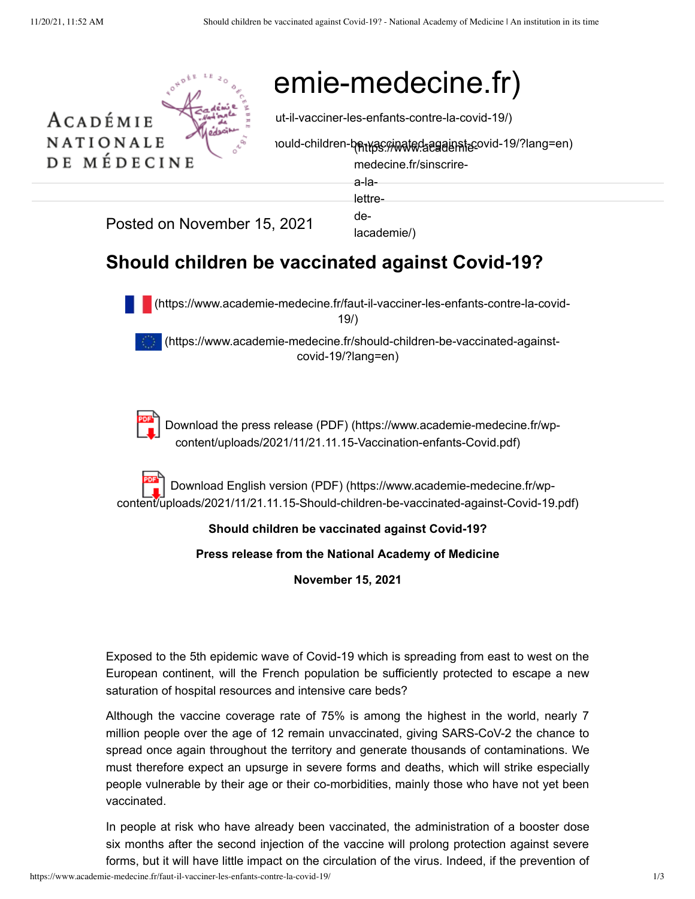

# emie-medecine.fr)

 $\begin{equation*} \text{T I O N A L E} \qquad \qquad \text{and} \qquad \text{could-children-}\text{Pyth} \end{equation*} \begin{equation*} \text{Gugel} \end{equation*} \begin{equation*} \text{Sylwate} \end{equation*} \begin{equation*} \text{Gugel} \end{equation*} \begin{equation*} \text{Gugel} \end{equation*}$ 

medecine.fr/sinscrire-

a-la-

lettre-

Posted on November 15, 2021 academie/)

## de-

### **Should children be vaccinated against Covid-19?**



 [\(https://www.academie-medecine.fr/faut-il-vacciner-les-enfants-contre-la-covid-](https://www.academie-medecine.fr/faut-il-vacciner-les-enfants-contre-la-covid-19/)19/)

 [\(https://www.academie-medecine.fr/should-children-be-vaccinated-against](https://www.academie-medecine.fr/should-children-be-vaccinated-against-covid-19/?lang=en)covid-19/?lang=en)



[Download the press release \(PDF\) \(https://www.academie-medecine.fr/wp](https://www.academie-medecine.fr/wp-content/uploads/2021/11/21.11.15-Vaccination-enfants-Covid.pdf)content/uploads/2021/11/21.11.15-Vaccination-enfants-Covid.pdf)

Download English version (PDF) (https://www.academie-medecine.fr/wp[content/uploads/2021/11/21.11.15-Should-children-be-vaccinated-against-Covid-19.pdf\)](https://www.academie-medecine.fr/wp-content/uploads/2021/11/21.11.15-Should-children-be-vaccinated-against-Covid-19.pdf)

### **Should children be vaccinated against Covid-19?**

#### **Press release from the National Academy of Medicine**

**November 15, 2021**

Exposed to the 5th epidemic wave of Covid-19 which is spreading from east to west on the European continent, will the French population be sufficiently protected to escape a new saturation of hospital resources and intensive care beds?

Although the vaccine coverage rate of 75% is among the highest in the world, nearly 7 million people over the age of 12 remain unvaccinated, giving SARS-CoV-2 the chance to spread once again throughout the territory and generate thousands of contaminations. We must therefore expect an upsurge in severe forms and deaths, which will strike especially people vulnerable by their age or their co-morbidities, mainly those who have not yet been vaccinated.

In people at risk who have already been vaccinated, the administration of a booster dose six months after the second injection of the vaccine will prolong protection against severe forms, but it will have little impact on the circulation of the virus. Indeed, if the prevention of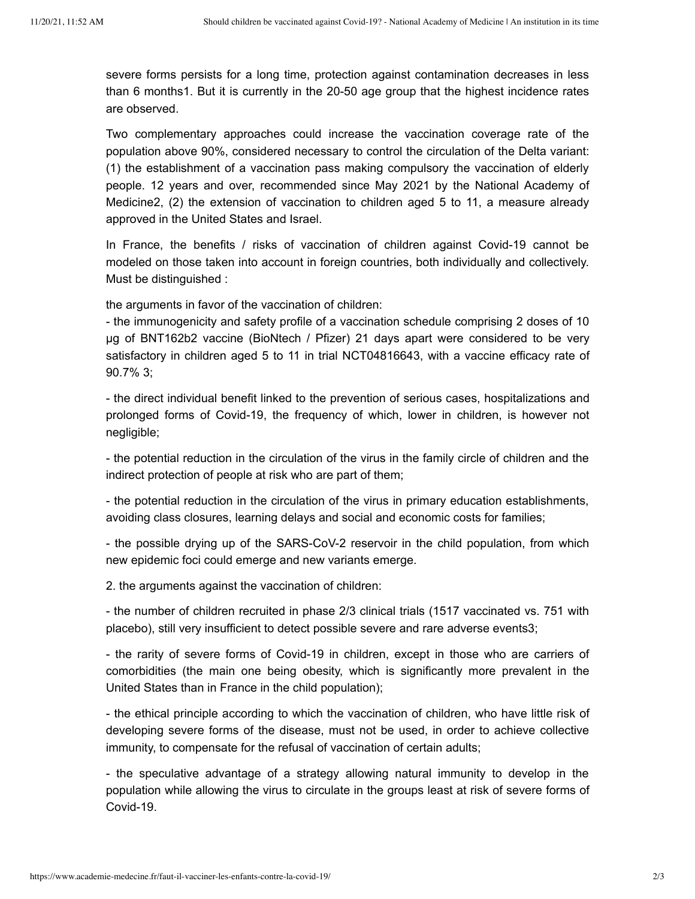severe forms persists for a long time, protection against contamination decreases in less than 6 months1. But it is currently in the 20-50 age group that the highest incidence rates are observed.

Two complementary approaches could increase the vaccination coverage rate of the population above 90%, considered necessary to control the circulation of the Delta variant: (1) the establishment of a vaccination pass making compulsory the vaccination of elderly people. 12 years and over, recommended since May 2021 by the National Academy of Medicine2, (2) the extension of vaccination to children aged 5 to 11, a measure already approved in the United States and Israel.

In France, the benefits / risks of vaccination of children against Covid-19 cannot be modeled on those taken into account in foreign countries, both individually and collectively. Must be distinguished :

the arguments in favor of the vaccination of children:

- the immunogenicity and safety profile of a vaccination schedule comprising 2 doses of 10 μg of BNT162b2 vaccine (BioNtech / Pfizer) 21 days apart were considered to be very satisfactory in children aged 5 to 11 in trial NCT04816643, with a vaccine efficacy rate of 90.7% 3;

- the direct individual benefit linked to the prevention of serious cases, hospitalizations and prolonged forms of Covid-19, the frequency of which, lower in children, is however not negligible;

- the potential reduction in the circulation of the virus in the family circle of children and the indirect protection of people at risk who are part of them;

- the potential reduction in the circulation of the virus in primary education establishments, avoiding class closures, learning delays and social and economic costs for families;

- the possible drying up of the SARS-CoV-2 reservoir in the child population, from which new epidemic foci could emerge and new variants emerge.

2. the arguments against the vaccination of children:

- the number of children recruited in phase 2/3 clinical trials (1517 vaccinated vs. 751 with placebo), still very insufficient to detect possible severe and rare adverse events3;

- the rarity of severe forms of Covid-19 in children, except in those who are carriers of comorbidities (the main one being obesity, which is significantly more prevalent in the United States than in France in the child population);

- the ethical principle according to which the vaccination of children, who have little risk of developing severe forms of the disease, must not be used, in order to achieve collective immunity, to compensate for the refusal of vaccination of certain adults;

- the speculative advantage of a strategy allowing natural immunity to develop in the population while allowing the virus to circulate in the groups least at risk of severe forms of Covid-19.